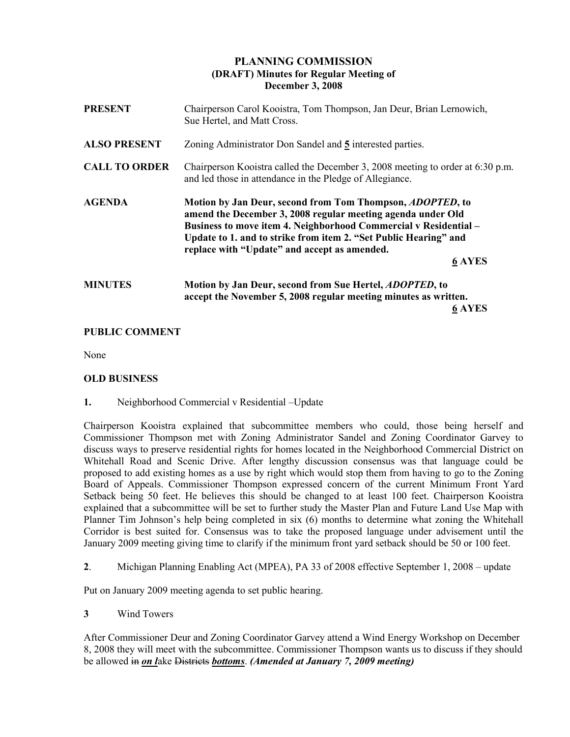# PLANNING COMMISSION (DRAFT) Minutes for Regular Meeting of December 3, 2008

| <b>PRESENT</b>       | Chairperson Carol Kooistra, Tom Thompson, Jan Deur, Brian Lernowich,<br>Sue Hertel, and Matt Cross.                                                                                                                                                                                                                                       |
|----------------------|-------------------------------------------------------------------------------------------------------------------------------------------------------------------------------------------------------------------------------------------------------------------------------------------------------------------------------------------|
| <b>ALSO PRESENT</b>  | Zoning Administrator Don Sandel and 5 interested parties.                                                                                                                                                                                                                                                                                 |
| <b>CALL TO ORDER</b> | Chairperson Kooistra called the December 3, 2008 meeting to order at 6:30 p.m.<br>and led those in attendance in the Pledge of Allegiance.                                                                                                                                                                                                |
| <b>AGENDA</b>        | Motion by Jan Deur, second from Tom Thompson, <i>ADOPTED</i> , to<br>amend the December 3, 2008 regular meeting agenda under Old<br>Business to move item 4. Neighborhood Commercial v Residential -<br>Update to 1. and to strike from item 2. "Set Public Hearing" and<br>replace with "Update" and accept as amended.<br><b>6 AYES</b> |
| <b>MINUTES</b>       | Motion by Jan Deur, second from Sue Hertel, <i>ADOPTED</i> , to<br>accept the November 5, 2008 regular meeting minutes as written.<br><b>6 AYES</b>                                                                                                                                                                                       |

### PUBLIC COMMENT

None

# OLD BUSINESS

1. Neighborhood Commercial v Residential –Update

Chairperson Kooistra explained that subcommittee members who could, those being herself and Commissioner Thompson met with Zoning Administrator Sandel and Zoning Coordinator Garvey to discuss ways to preserve residential rights for homes located in the Neighborhood Commercial District on Whitehall Road and Scenic Drive. After lengthy discussion consensus was that language could be proposed to add existing homes as a use by right which would stop them from having to go to the Zoning Board of Appeals. Commissioner Thompson expressed concern of the current Minimum Front Yard Setback being 50 feet. He believes this should be changed to at least 100 feet. Chairperson Kooistra explained that a subcommittee will be set to further study the Master Plan and Future Land Use Map with Planner Tim Johnson's help being completed in six (6) months to determine what zoning the Whitehall Corridor is best suited for. Consensus was to take the proposed language under advisement until the January 2009 meeting giving time to clarify if the minimum front yard setback should be 50 or 100 feet.

2. Michigan Planning Enabling Act (MPEA), PA 33 of 2008 effective September 1, 2008 – update

Put on January 2009 meeting agenda to set public hearing.

3 Wind Towers

After Commissioner Deur and Zoning Coordinator Garvey attend a Wind Energy Workshop on December 8, 2008 they will meet with the subcommittee. Commissioner Thompson wants us to discuss if they should be allowed in on lake Districts bottoms. (Amended at January 7, 2009 meeting)